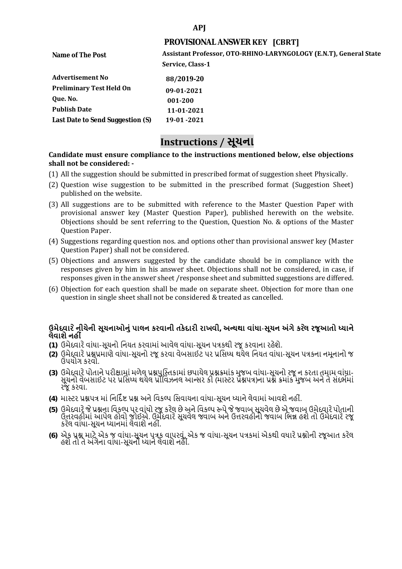### **APJ**

### **PROVISIONAL ANSWER KEY [CBRT]**

| Name of The Post                 | Assistant Professor, OTO-RHINO-LARYNGOLOGY (E.N.T), General State |
|----------------------------------|-------------------------------------------------------------------|
|                                  | Service, Class-1                                                  |
| <b>Advertisement No</b>          | 88/2019-20                                                        |
| <b>Preliminary Test Held On</b>  | 09-01-2021                                                        |
| Que. No.                         | 001-200                                                           |
| <b>Publish Date</b>              | 11-01-2021                                                        |
| Last Date to Send Suggestion (S) | 19-01 -2021                                                       |
|                                  |                                                                   |

# **Instructions / સૂચના**

#### **shall not be considered: - Candidate must ensure compliance to the instructions mentioned below, else objections**

- (1) All the suggestion should be submitted in prescribed format of suggestion sheet Physically.
- (2) Question wise suggestion to be submitted in the prescribed format (Suggestion Sheet) published on the website.
- (3) All suggestions are to be submitted with reference to the Master Question Paper with provisional answer key (Master Question Paper), published herewith on the website. Objections should be sent referring to the Question, Question No. & options of the Master Question Paper.
- (4) Suggestions regarding question nos. and options other than provisional answer key (Master Question Paper) shall not be considered.
- (5) Objections and answers suggested by the candidate should be in compliance with the responses given by him in his answer sheet. Objections shall not be considered, in case, if responses given in the answer sheet /response sheet and submitted suggestions are differed.
- (6) Objection for each question shall be made on separate sheet. Objection for more than one question in single sheet shall not be considered & treated as cancelled.

## **ઉમેદવાર ેનીચેની સૂચનાઓનું પાલન કરવાની તકેદારી રાખવી, અլયથા વાંધા-સૂચન અંગેકર ેલ રજૂઆતો իયાને લેવાશેનહી ં**

- **(1)** ઉમેદવારેવાંધા**-**સૂચનો િનયત કરવામાં આવેલ વાંધા-સૂચન પԋકથી રજૂ કરવાના રહેશે**.**
- **(2)** ઉમેદવારેԐՇԐમાણે વાંધા**-**સૂચનો રજૂકરવા વેબસાઈટ પર Ԑિસիધ થયેલ િનયત વાંધા-સૂચન પԋકના નમૂનાનો જ ઉપયોગ કરવો**.**
- **(3)** ઉમેદવારેપોતાનેપરીԟામાંમળેલ ԐՇપુિչતકામાંછપાયેલ ԐՇԃમાંક મુજબ વાંધા**-**સૂચનો રજૂન કરતા તમામ વાંધા**-** સૂચનો વેબસાઈટ પર પ્રસિધ્ધ થયેલ પ્રોવિઝનલ આન્સર કી (માસ્ટર પ્રૅશ્નપત્ર)ના પ્રશ્ને ક્રમાંક મુજબ અને તે સંદર્ભમાં રજૂકરવા**.**
- **(4)** માչટર ԐՇપԋ માંિનિદӪ Ջ ԐՇ અનેિવકճપ િસવાયના વાંધા**-**સૂચન իયાનેલેવામાંઆવશેનહીં**.**
- (5) ઉમેદવારે જે પ્રશ્નના વિકલ્પ પર વાંધો રજૂ કરેલ છે અને વિકલ્પ ર<del>ુ</del>પે જે જવાબ સૂચવેલ છે એ જવાબ ઉમેદવારે પોતાની ઉԱરવહીમાંઆપેલ હોવો જોઈએ**.** ઉમેદવારેસૂચવેલ જવાબ અનેઉԱરવહીનો જવાબ િભՂ હશેતો ઉમેદવારેરજૂ કરેલ વાંધા**-**સૂચન իયાનમાંલેવાશેનહીં**.**
- **(6)** એક ԐՇ માટેએક જ વાંધા**-**સૂચન પԋક વાપરવું**.** એક જ વાંધા**-**સૂચન પԋકમાંએકથી વધારેԐՇોની રજૂઆત કરેલ હશેતો તેઅંગેના વાંધા**-**સૂચનો իયાનેલેવાશેનહીં**.**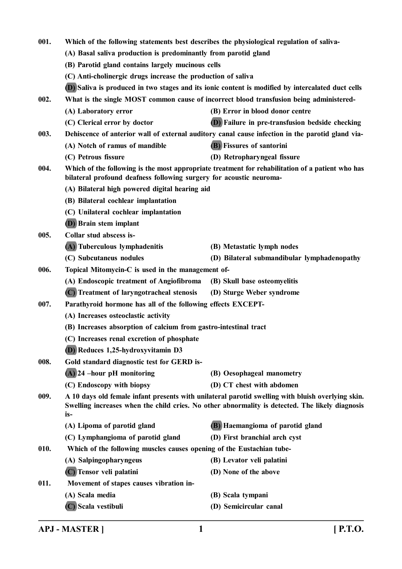| 001.                                                                                                                                                                            | Which of the following statements best describes the physiological regulation of saliva-                                                                                                                    |                                                                                                   |  |
|---------------------------------------------------------------------------------------------------------------------------------------------------------------------------------|-------------------------------------------------------------------------------------------------------------------------------------------------------------------------------------------------------------|---------------------------------------------------------------------------------------------------|--|
|                                                                                                                                                                                 | (A) Basal saliva production is predominantly from parotid gland                                                                                                                                             |                                                                                                   |  |
|                                                                                                                                                                                 | (B) Parotid gland contains largely mucinous cells                                                                                                                                                           |                                                                                                   |  |
|                                                                                                                                                                                 | (C) Anti-cholinergic drugs increase the production of saliva                                                                                                                                                |                                                                                                   |  |
|                                                                                                                                                                                 |                                                                                                                                                                                                             | (D) Saliva is produced in two stages and its ionic content is modified by intercalated duct cells |  |
| 002.                                                                                                                                                                            |                                                                                                                                                                                                             | What is the single MOST common cause of incorrect blood transfusion being administered-           |  |
|                                                                                                                                                                                 | (A) Laboratory error                                                                                                                                                                                        | (B) Error in blood donor centre                                                                   |  |
|                                                                                                                                                                                 | (C) Clerical error by doctor                                                                                                                                                                                | (D) Failure in pre-transfusion bedside checking                                                   |  |
| 003.                                                                                                                                                                            |                                                                                                                                                                                                             | Dehiscence of anterior wall of external auditory canal cause infection in the parotid gland via-  |  |
|                                                                                                                                                                                 | (A) Notch of ramus of mandible                                                                                                                                                                              | (B) Fissures of santorini                                                                         |  |
|                                                                                                                                                                                 | (C) Petrous fissure                                                                                                                                                                                         | (D) Retropharyngeal fissure                                                                       |  |
| Which of the following is the most appropriate treatment for rehabilitation of a patient who has<br>004.<br>bilateral profound deafness following surgery for acoustic neuroma- |                                                                                                                                                                                                             |                                                                                                   |  |
|                                                                                                                                                                                 | (A) Bilateral high powered digital hearing aid                                                                                                                                                              |                                                                                                   |  |
|                                                                                                                                                                                 | (B) Bilateral cochlear implantation                                                                                                                                                                         |                                                                                                   |  |
|                                                                                                                                                                                 | (C) Unilateral cochlear implantation                                                                                                                                                                        |                                                                                                   |  |
|                                                                                                                                                                                 | <b>(D)</b> Brain stem implant                                                                                                                                                                               |                                                                                                   |  |
| 005.                                                                                                                                                                            | Collar stud abscess is-                                                                                                                                                                                     |                                                                                                   |  |
|                                                                                                                                                                                 | (A) Tuberculous lymphadenitis                                                                                                                                                                               | (B) Metastatic lymph nodes                                                                        |  |
|                                                                                                                                                                                 | (C) Subcutaneus nodules                                                                                                                                                                                     | (D) Bilateral submandibular lymphadenopathy                                                       |  |
| 006.                                                                                                                                                                            |                                                                                                                                                                                                             | Topical Mitomycin-C is used in the management of-                                                 |  |
|                                                                                                                                                                                 | (A) Endoscopic treatment of Angiofibroma                                                                                                                                                                    | (B) Skull base osteomyelitis                                                                      |  |
|                                                                                                                                                                                 | (C) Treatment of laryngotracheal stenosis                                                                                                                                                                   | (D) Sturge Weber syndrome                                                                         |  |
| 007.                                                                                                                                                                            | Parathyroid hormone has all of the following effects EXCEPT-                                                                                                                                                |                                                                                                   |  |
|                                                                                                                                                                                 | (A) Increases osteoclastic activity                                                                                                                                                                         |                                                                                                   |  |
|                                                                                                                                                                                 | (B) Increases absorption of calcium from gastro-intestinal tract                                                                                                                                            |                                                                                                   |  |
|                                                                                                                                                                                 | (C) Increases renal excretion of phosphate                                                                                                                                                                  |                                                                                                   |  |
|                                                                                                                                                                                 | (D) Reduces 1,25-hydroxyvitamin D3                                                                                                                                                                          |                                                                                                   |  |
| 008.                                                                                                                                                                            | Gold standard diagnostic test for GERD is-                                                                                                                                                                  |                                                                                                   |  |
|                                                                                                                                                                                 | $(A)$ 24 -hour pH monitoring                                                                                                                                                                                | (B) Oesophageal manometry                                                                         |  |
|                                                                                                                                                                                 | (C) Endoscopy with biopsy                                                                                                                                                                                   | (D) CT chest with abdomen                                                                         |  |
| 009.                                                                                                                                                                            | A 10 days old female infant presents with unilateral parotid swelling with bluish overlying skin.<br>Swelling increases when the child cries. No other abnormality is detected. The likely diagnosis<br>is- |                                                                                                   |  |
|                                                                                                                                                                                 | (A) Lipoma of parotid gland                                                                                                                                                                                 | (B) Haemangioma of parotid gland                                                                  |  |
|                                                                                                                                                                                 | (C) Lymphangioma of parotid gland                                                                                                                                                                           | (D) First branchial arch cyst                                                                     |  |
| 010.                                                                                                                                                                            | Which of the following muscles causes opening of the Eustachian tube-                                                                                                                                       |                                                                                                   |  |
|                                                                                                                                                                                 | (A) Salpingopharyngeus                                                                                                                                                                                      | (B) Levator veli palatini                                                                         |  |
|                                                                                                                                                                                 | (C) Tensor veli palatini                                                                                                                                                                                    | (D) None of the above                                                                             |  |
| 011.                                                                                                                                                                            | Movement of stapes causes vibration in-                                                                                                                                                                     |                                                                                                   |  |
|                                                                                                                                                                                 | (A) Scala media                                                                                                                                                                                             | (B) Scala tympani                                                                                 |  |
|                                                                                                                                                                                 | (C) Scala vestibuli                                                                                                                                                                                         | (D) Semicircular canal                                                                            |  |

**APJ - MASTER ] 1 [ P.T.O.**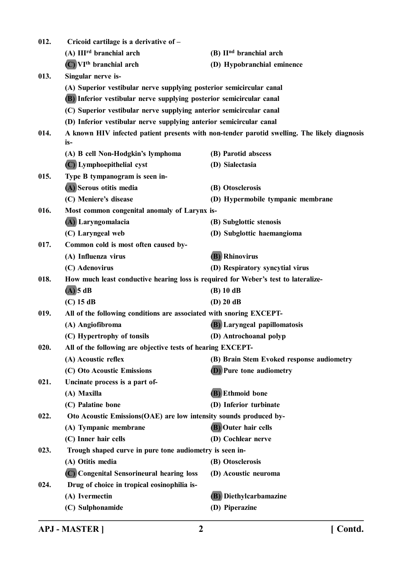| 012. | Cricoid cartilage is a derivative of -                                             |                                                                                              |
|------|------------------------------------------------------------------------------------|----------------------------------------------------------------------------------------------|
|      | (A) III <sup>rd</sup> branchial arch                                               | (B) II <sup>nd</sup> branchial arch                                                          |
|      | $(C)$ VI <sup>th</sup> branchial arch                                              | (D) Hypobranchial eminence                                                                   |
| 013. | Singular nerve is-                                                                 |                                                                                              |
|      | (A) Superior vestibular nerve supplying posterior semicircular canal               |                                                                                              |
|      | (B) Inferior vestibular nerve supplying posterior semicircular canal               |                                                                                              |
|      | (C) Superior vestibular nerve supplying anterior semicircular canal                |                                                                                              |
|      | (D) Inferior vestibular nerve supplying anterior semicircular canal                |                                                                                              |
| 014. | is-                                                                                | A known HIV infected patient presents with non-tender parotid swelling. The likely diagnosis |
|      | (A) B cell Non-Hodgkin's lymphoma                                                  | (B) Parotid abscess                                                                          |
|      | (C) Lymphoepithelial cyst                                                          | (D) Sialectasia                                                                              |
| 015. | Type B tympanogram is seen in-                                                     |                                                                                              |
|      | (A) Serous otitis media                                                            | (B) Otosclerosis                                                                             |
|      | (C) Meniere's disease                                                              | (D) Hypermobile tympanic membrane                                                            |
| 016. | Most common congenital anomaly of Larynx is-                                       |                                                                                              |
|      | (A) Laryngomalacia                                                                 | (B) Subglottic stenosis                                                                      |
|      | (C) Laryngeal web                                                                  | (D) Subglottic haemangioma                                                                   |
| 017. | Common cold is most often caused by-                                               |                                                                                              |
|      | (A) Influenza virus                                                                | <b>(B)</b> Rhinovirus                                                                        |
|      | (C) Adenovirus                                                                     | (D) Respiratory syncytial virus                                                              |
| 018. | How much least conductive hearing loss is required for Weber's test to lateralize- |                                                                                              |
|      | $(A)$ 5 dB                                                                         | $(B)$ 10 dB                                                                                  |
|      | $(C)$ 15 dB                                                                        | $(D)$ 20 dB                                                                                  |
| 019. | All of the following conditions are associated with snoring EXCEPT-                |                                                                                              |
|      | (A) Angiofibroma                                                                   | <b>(B)</b> Laryngeal papillomatosis                                                          |
|      | (C) Hypertrophy of tonsils                                                         | (D) Antrochoanal polyp                                                                       |
| 020. | All of the following are objective tests of hearing EXCEPT-                        |                                                                                              |
|      | (A) Acoustic reflex                                                                | (B) Brain Stem Evoked response audiometry                                                    |
|      | (C) Oto Acoustic Emissions                                                         | <b>(D)</b> Pure tone audiometry                                                              |
| 021. | Uncinate process is a part of-                                                     |                                                                                              |
|      | (A) Maxilla                                                                        | (B) Ethmoid bone                                                                             |
|      | (C) Palatine bone                                                                  | (D) Inferior turbinate                                                                       |
| 022. | Oto Acoustic Emissions(OAE) are low intensity sounds produced by-                  |                                                                                              |
|      | (A) Tympanic membrane                                                              | (B) Outer hair cells                                                                         |
|      | (C) Inner hair cells                                                               | (D) Cochlear nerve                                                                           |
| 023. | Trough shaped curve in pure tone audiometry is seen in-                            |                                                                                              |
|      | (A) Otitis media                                                                   | (B) Otosclerosis                                                                             |
|      | (C) Congenital Sensorineural hearing loss                                          | (D) Acoustic neuroma                                                                         |
| 024. | Drug of choice in tropical eosinophilia is-                                        |                                                                                              |
|      | (A) Ivermectin                                                                     | (B) Diethylcarbamazine                                                                       |
|      | (C) Sulphonamide                                                                   | (D) Piperazine                                                                               |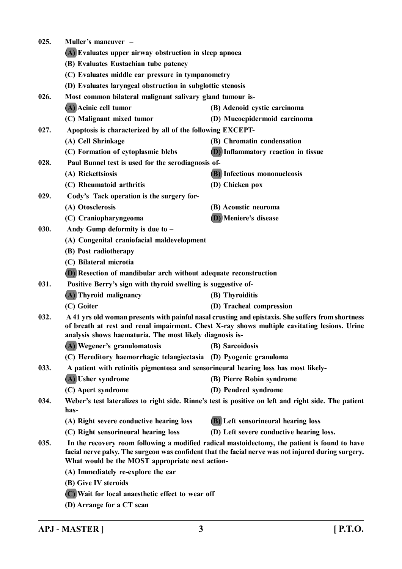| 025. | Muller's maneuver –                                                                 |                                                                                                                                                                                                      |
|------|-------------------------------------------------------------------------------------|------------------------------------------------------------------------------------------------------------------------------------------------------------------------------------------------------|
|      | (A) Evaluates upper airway obstruction in sleep apnoea                              |                                                                                                                                                                                                      |
|      | (B) Evaluates Eustachian tube patency                                               |                                                                                                                                                                                                      |
|      | (C) Evaluates middle ear pressure in tympanometry                                   |                                                                                                                                                                                                      |
|      | (D) Evaluates laryngeal obstruction in subglottic stenosis                          |                                                                                                                                                                                                      |
| 026. | Most common bilateral malignant salivary gland tumour is-                           |                                                                                                                                                                                                      |
|      | (A) Acinic cell tumor                                                               | (B) Adenoid cystic carcinoma                                                                                                                                                                         |
|      | (C) Malignant mixed tumor                                                           | (D) Mucoepidermoid carcinoma                                                                                                                                                                         |
| 027. | Apoptosis is characterized by all of the following EXCEPT-                          |                                                                                                                                                                                                      |
|      | (A) Cell Shrinkage                                                                  | (B) Chromatin condensation                                                                                                                                                                           |
|      | (C) Formation of cytoplasmic blebs                                                  | <b>(D)</b> Inflammatory reaction in tissue                                                                                                                                                           |
| 028. | Paul Bunnel test is used for the serodiagnosis of-                                  |                                                                                                                                                                                                      |
|      | (A) Rickettsiosis                                                                   | <b>(B)</b> Infectious mononucleosis                                                                                                                                                                  |
|      | (C) Rheumatoid arthritis                                                            | (D) Chicken pox                                                                                                                                                                                      |
| 029. | Cody's Tack operation is the surgery for-                                           |                                                                                                                                                                                                      |
|      | (A) Otosclerosis                                                                    | (B) Acoustic neuroma                                                                                                                                                                                 |
|      | (C) Craniopharyngeoma                                                               | (D) Meniere's disease                                                                                                                                                                                |
| 030. | Andy Gump deformity is due to $-$                                                   |                                                                                                                                                                                                      |
|      | (A) Congenital craniofacial maldevelopment                                          |                                                                                                                                                                                                      |
|      | (B) Post radiotherapy                                                               |                                                                                                                                                                                                      |
|      | (C) Bilateral microtia                                                              |                                                                                                                                                                                                      |
|      | (D) Resection of mandibular arch without adequate reconstruction                    |                                                                                                                                                                                                      |
| 031. | Positive Berry's sign with thyroid swelling is suggestive of-                       |                                                                                                                                                                                                      |
|      | (A) Thyroid malignancy                                                              | (B) Thyroiditis                                                                                                                                                                                      |
|      | (C) Goiter                                                                          | (D) Tracheal compression                                                                                                                                                                             |
| 032. | analysis shows haematuria. The most likely diagnosis is-                            | A 41 yrs old woman presents with painful nasal crusting and epistaxis. She suffers from shortness<br>of breath at rest and renal impairment. Chest X-ray shows multiple cavitating lesions. Urine    |
|      | (A) Wegener's granulomatosis                                                        | (B) Sarcoidosis                                                                                                                                                                                      |
|      | (C) Hereditory haemorrhagic telangiectasia (D) Pyogenic granuloma                   |                                                                                                                                                                                                      |
| 033. | A patient with retinitis pigmentosa and sensorineural hearing loss has most likely- |                                                                                                                                                                                                      |
|      | (A) Usher syndrome                                                                  | (B) Pierre Robin syndrome                                                                                                                                                                            |
|      | (C) Apert syndrome                                                                  | (D) Pendred syndrome                                                                                                                                                                                 |
| 034. | has-                                                                                | Weber's test lateralizes to right side. Rinne's test is positive on left and right side. The patient                                                                                                 |
|      | (A) Right severe conductive hearing loss                                            | <b>(B)</b> Left sensorineural hearing loss                                                                                                                                                           |
|      | (C) Right sensorineural hearing loss                                                | (D) Left severe conductive hearing loss.                                                                                                                                                             |
| 035. | What would be the MOST appropriate next action-                                     | In the recovery room following a modified radical mastoidectomy, the patient is found to have<br>facial nerve palsy. The surgeon was confident that the facial nerve was not injured during surgery. |
|      | (A) Immediately re-explore the ear                                                  |                                                                                                                                                                                                      |
|      | (B) Give IV steroids                                                                |                                                                                                                                                                                                      |
|      | (C) Wait for local anaesthetic effect to wear off                                   |                                                                                                                                                                                                      |
|      | (D) Arrange for a CT scan                                                           |                                                                                                                                                                                                      |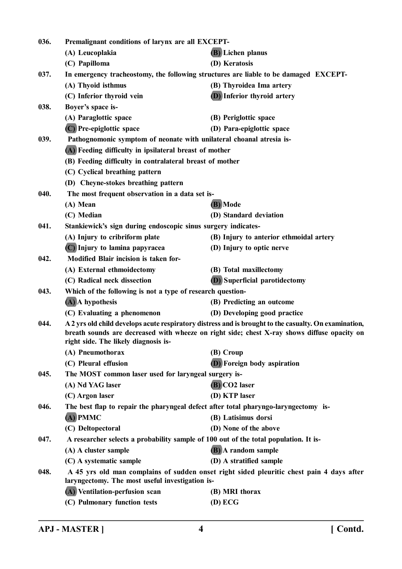| 036. | Premalignant conditions of larynx are all EXCEPT-                    |                                                                                                                                                                                                      |
|------|----------------------------------------------------------------------|------------------------------------------------------------------------------------------------------------------------------------------------------------------------------------------------------|
|      | (A) Leucoplakia                                                      | (B) Lichen planus                                                                                                                                                                                    |
|      | (C) Papilloma                                                        | (D) Keratosis                                                                                                                                                                                        |
| 037. |                                                                      | In emergency tracheostomy, the following structures are liable to be damaged EXCEPT-                                                                                                                 |
|      | (A) Thyoid isthmus                                                   | (B) Thyroidea Ima artery                                                                                                                                                                             |
|      | (C) Inferior thyroid vein                                            | (D) Inferior thyroid artery                                                                                                                                                                          |
| 038. | Boyer's space is-                                                    |                                                                                                                                                                                                      |
|      | (A) Paraglottic space                                                | (B) Periglottic space                                                                                                                                                                                |
|      | (C) Pre-epiglottic space                                             | (D) Para-epiglottic space                                                                                                                                                                            |
| 039. | Pathognomonic symptom of neonate with unilateral choanal atresia is- |                                                                                                                                                                                                      |
|      | (A) Feeding difficulty in ipsilateral breast of mother               |                                                                                                                                                                                                      |
|      | (B) Feeding difficulty in contralateral breast of mother             |                                                                                                                                                                                                      |
|      | (C) Cyclical breathing pattern                                       |                                                                                                                                                                                                      |
|      | (D) Cheyne-stokes breathing pattern                                  |                                                                                                                                                                                                      |
| 040. | The most frequent observation in a data set is-                      |                                                                                                                                                                                                      |
|      | (A) Mean                                                             | (B) Mode                                                                                                                                                                                             |
|      | (C) Median                                                           | (D) Standard deviation                                                                                                                                                                               |
| 041. | Stankiewick's sign during endoscopic sinus surgery indicates-        |                                                                                                                                                                                                      |
|      | (A) Injury to cribriform plate                                       | (B) Injury to anterior ethmoidal artery                                                                                                                                                              |
|      | (C) Injury to lamina papyracea                                       | (D) Injury to optic nerve                                                                                                                                                                            |
| 042. | Modified Blair incision is taken for-                                |                                                                                                                                                                                                      |
|      | (A) External ethmoidectomy                                           | (B) Total maxillectomy                                                                                                                                                                               |
|      | (C) Radical neck dissection                                          | <b>(D)</b> Superficial parotidectomy                                                                                                                                                                 |
| 043. | Which of the following is not a type of research question-           |                                                                                                                                                                                                      |
|      | (A) A hypothesis                                                     | (B) Predicting an outcome                                                                                                                                                                            |
|      | (C) Evaluating a phenomenon                                          | (D) Developing good practice                                                                                                                                                                         |
| 044. |                                                                      | A 2 yrs old child develops acute respiratory distress and is brought to the casualty. On examination,<br>breath sounds are decreased with wheeze on right side; chest X-ray shows diffuse opacity on |
|      | right side. The likely diagnosis is-                                 |                                                                                                                                                                                                      |
|      | (A) Pneumothorax                                                     | (B) Croup                                                                                                                                                                                            |
|      | (C) Pleural effusion                                                 | (D) Foreign body aspiration                                                                                                                                                                          |
| 045. | The MOST common laser used for laryngeal surgery is-                 |                                                                                                                                                                                                      |
|      | (A) Nd YAG laser                                                     | (B) CO2 laser                                                                                                                                                                                        |
|      | (C) Argon laser                                                      | (D) KTP laser                                                                                                                                                                                        |
| 046. |                                                                      | The best flap to repair the pharyngeal defect after total pharyngo-laryngectomy is-                                                                                                                  |
|      | $\overline{A}$ ) PMMC                                                | (B) Latisimus dorsi                                                                                                                                                                                  |
|      | (C) Deltopectoral                                                    | (D) None of the above                                                                                                                                                                                |
| 047. |                                                                      | A researcher selects a probability sample of 100 out of the total population. It is-                                                                                                                 |
|      | (A) A cluster sample                                                 | (B) A random sample                                                                                                                                                                                  |
|      | (C) A systematic sample                                              | (D) A stratified sample                                                                                                                                                                              |
| 048. |                                                                      | A 45 yrs old man complains of sudden onset right sided pleuritic chest pain 4 days after                                                                                                             |
|      | laryngectomy. The most useful investigation is-                      |                                                                                                                                                                                                      |
|      | (A) Ventilation-perfusion scan                                       | (B) MRI thorax                                                                                                                                                                                       |
|      | (C) Pulmonary function tests                                         | $(D)$ ECG                                                                                                                                                                                            |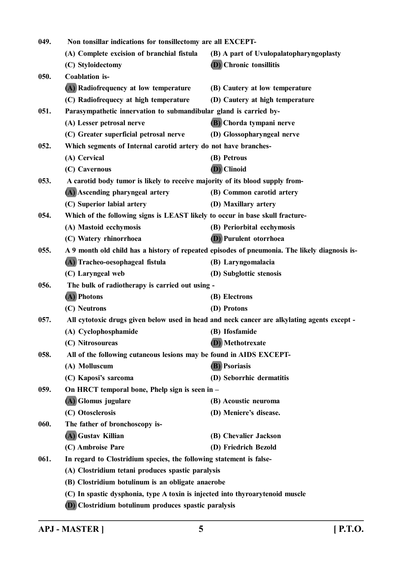| 049. | Non tonsillar indications for tonsillectomy are all EXCEPT-                   |                                                                                               |
|------|-------------------------------------------------------------------------------|-----------------------------------------------------------------------------------------------|
|      | (A) Complete excision of branchial fistula                                    | (B) A part of Uvulopalatopharyngoplasty                                                       |
|      | (C) Styloidectomy                                                             | (D) Chronic tonsillitis                                                                       |
| 050. | <b>Coablation</b> is-                                                         |                                                                                               |
|      | (A) Radiofrequency at low temperature                                         | (B) Cautery at low temperature                                                                |
|      | (C) Radiofrequecy at high temperature                                         | (D) Cautery at high temperature                                                               |
| 051. | Parasympathetic innervation to submandibular gland is carried by-             |                                                                                               |
|      | (A) Lesser petrosal nerve                                                     | (B) Chorda tympani nerve                                                                      |
|      | (C) Greater superficial petrosal nerve                                        | (D) Glossopharyngeal nerve                                                                    |
| 052. | Which segments of Internal carotid artery do not have branches-               |                                                                                               |
|      | (A) Cervical                                                                  | (B) Petrous                                                                                   |
|      | (C) Cavernous                                                                 | (D) Clinoid                                                                                   |
| 053. | A carotid body tumor is likely to receive majority of its blood supply from-  |                                                                                               |
|      | (A) Ascending pharyngeal artery                                               | (B) Common carotid artery                                                                     |
|      | (C) Superior labial artery                                                    | (D) Maxillary artery                                                                          |
| 054. | Which of the following signs is LEAST likely to occur in base skull fracture- |                                                                                               |
|      | (A) Mastoid ecchymosis                                                        | (B) Periorbital ecchymosis                                                                    |
|      | (C) Watery rhinorrhoea                                                        | <b>(D)</b> Purulent otorrhoea                                                                 |
| 055. |                                                                               | A 9 month old child has a history of repeated episodes of pneumonia. The likely diagnosis is- |
|      | (A) Tracheo-oesophageal fistula                                               | (B) Laryngomalacia                                                                            |
|      | (C) Laryngeal web                                                             | (D) Subglottic stenosis                                                                       |
| 056. | The bulk of radiotherapy is carried out using -                               |                                                                                               |
|      | (A) Photons                                                                   | (B) Electrons                                                                                 |
|      | (C) Neutrons                                                                  | (D) Protons                                                                                   |
| 057. |                                                                               | All cytotoxic drugs given below used in head and neck cancer are alkylating agents except -   |
|      | (A) Cyclophosphamide                                                          | (B) Ifosfamide                                                                                |
|      | (C) Nitrosoureas                                                              | (D) Methotrexate                                                                              |
| 058. | All of the following cutaneous lesions may be found in AIDS EXCEPT-           |                                                                                               |
|      | (A) Molluscum                                                                 | (B) Psoriasis                                                                                 |
|      | (C) Kaposi's sarcoma                                                          | (D) Seborrhic dermatitis                                                                      |
| 059. | On HRCT temporal bone, Phelp sign is seen in -                                |                                                                                               |
|      | (A) Glomus jugulare                                                           | (B) Acoustic neuroma                                                                          |
|      | (C) Otosclerosis                                                              | (D) Meniere's disease.                                                                        |
| 060. | The father of bronchoscopy is-                                                |                                                                                               |
|      | (A) Gustav Killian                                                            | (B) Chevalier Jackson                                                                         |
|      | (C) Ambroise Pare                                                             | (D) Friedrich Bezold                                                                          |
| 061. | In regard to Clostridium species, the following statement is false-           |                                                                                               |
|      | (A) Clostridium tetani produces spastic paralysis                             |                                                                                               |
|      | (B) Clostridium botulinum is an obligate anaerobe                             |                                                                                               |
|      | (C) In spastic dysphonia, type A toxin is injected into thyroarytenoid muscle |                                                                                               |
|      | (D) Clostridium botulinum produces spastic paralysis                          |                                                                                               |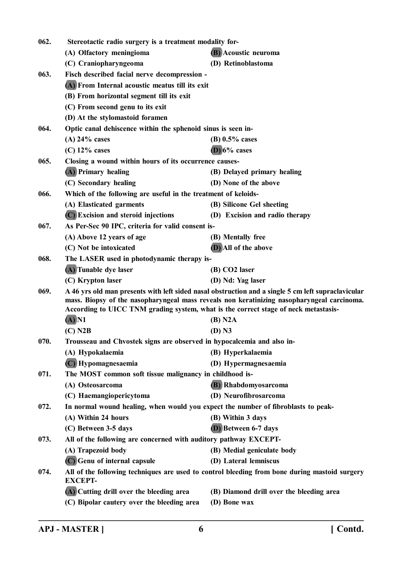| 062. | Stereotactic radio surgery is a treatment modality for-                             |                                                                                                    |
|------|-------------------------------------------------------------------------------------|----------------------------------------------------------------------------------------------------|
|      | (A) Olfactory meningioma                                                            | (B) Acoustic neuroma                                                                               |
|      | (C) Craniopharyngeoma                                                               | (D) Retinoblastoma                                                                                 |
| 063. | Fisch described facial nerve decompression -                                        |                                                                                                    |
|      | (A) From Internal acoustic meatus till its exit                                     |                                                                                                    |
|      | (B) From horizontal segment till its exit                                           |                                                                                                    |
|      | (C) From second genu to its exit                                                    |                                                                                                    |
|      | (D) At the stylomastoid foramen                                                     |                                                                                                    |
| 064. | Optic canal dehiscence within the sphenoid sinus is seen in-                        |                                                                                                    |
|      | $(A)$ 24% cases                                                                     | (B) $0.5\%$ cases                                                                                  |
|      | $(C)$ 12% cases                                                                     | $(D)$ 6% cases                                                                                     |
| 065. | Closing a wound within hours of its occurrence causes-                              |                                                                                                    |
|      | (A) Primary healing                                                                 | (B) Delayed primary healing                                                                        |
|      | (C) Secondary healing                                                               | (D) None of the above                                                                              |
| 066. | Which of the following are useful in the treatment of keloids-                      |                                                                                                    |
|      | (A) Elasticated garments                                                            | (B) Silicone Gel sheeting                                                                          |
|      | (C) Excision and steroid injections                                                 | (D) Excision and radio therapy                                                                     |
| 067. | As Per-Sec 90 IPC, criteria for valid consent is-                                   |                                                                                                    |
|      | (A) Above 12 years of age                                                           | (B) Mentally free                                                                                  |
|      | (C) Not be intoxicated                                                              | (D) All of the above                                                                               |
| 068. | The LASER used in photodynamic therapy is-                                          |                                                                                                    |
|      | (A) Tunable dye laser                                                               | (B) CO2 laser                                                                                      |
|      | (C) Krypton laser                                                                   | (D) Nd: Yag laser                                                                                  |
| 069. |                                                                                     | A 46 yrs old man presents with left sided nasal obstruction and a single 5 cm left supraclavicular |
|      | According to UICC TNM grading system, what is the correct stage of neck metastasis- | mass. Biopsy of the nasopharyngeal mass reveals non keratinizing nasopharyngeal carcinoma.         |
|      | $\overline{A}$ N1                                                                   | (B) N2A                                                                                            |
|      | $(C)$ N2B                                                                           | $(D)$ N3                                                                                           |
| 070. | Trousseau and Chvostek signs are observed in hypocalcemia and also in-              |                                                                                                    |
|      | (A) Hypokalaemia                                                                    | (B) Hyperkalaemia                                                                                  |
|      | (C) Hypomagnesaemia                                                                 | (D) Hypermagnesaemia                                                                               |
| 071. | The MOST common soft tissue malignancy in childhood is-                             |                                                                                                    |
|      | (A) Osteosarcoma                                                                    | (B) Rhabdomyosarcoma                                                                               |
|      | (C) Haemangiopericytoma                                                             | (D) Neurofibrosarcoma                                                                              |
| 072. | In normal wound healing, when would you expect the number of fibroblasts to peak-   |                                                                                                    |
|      | (A) Within 24 hours                                                                 | (B) Within 3 days                                                                                  |
|      | (C) Between 3-5 days                                                                | <b>D</b> ) Between 6-7 days                                                                        |
| 073. | All of the following are concerned with auditory pathway EXCEPT-                    |                                                                                                    |
|      | (A) Trapezoid body                                                                  | (B) Medial geniculate body                                                                         |
|      | (C) Genu of internal capsule                                                        | (D) Lateral lemniscus                                                                              |
| 074. |                                                                                     | All of the following techniques are used to control bleeding from bone during mastoid surgery      |
|      | <b>EXCEPT-</b>                                                                      |                                                                                                    |
|      | (A) Cutting drill over the bleeding area                                            | (B) Diamond drill over the bleeding area                                                           |
|      | (C) Bipolar cautery over the bleeding area                                          | (D) Bone wax                                                                                       |
|      |                                                                                     |                                                                                                    |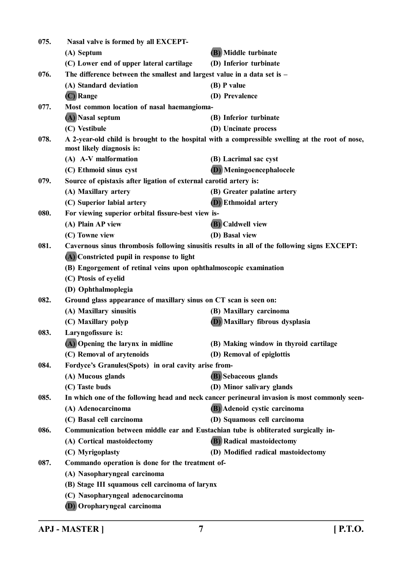| 075. | Nasal valve is formed by all EXCEPT-                                               |                                                                                                 |
|------|------------------------------------------------------------------------------------|-------------------------------------------------------------------------------------------------|
|      | (A) Septum                                                                         | (B) Middle turbinate                                                                            |
|      | (C) Lower end of upper lateral cartilage                                           | (D) Inferior turbinate                                                                          |
| 076. | The difference between the smallest and largest value in a data set is $-$         |                                                                                                 |
|      | (A) Standard deviation                                                             | (B) P value                                                                                     |
|      | (C) Range                                                                          | (D) Prevalence                                                                                  |
| 077. | Most common location of nasal haemangioma-                                         |                                                                                                 |
|      | (A) Nasal septum                                                                   | (B) Inferior turbinate                                                                          |
|      | (C) Vestibule                                                                      | (D) Uncinate process                                                                            |
| 078. | most likely diagnosis is:                                                          | A 2-year-old child is brought to the hospital with a compressible swelling at the root of nose, |
|      | (A) A-V malformation                                                               | (B) Lacrimal sac cyst                                                                           |
|      | (C) Ethmoid sinus cyst                                                             | (D) Meningoencephalocele                                                                        |
| 079. | Source of epistaxis after ligation of external carotid artery is:                  |                                                                                                 |
|      | (A) Maxillary artery                                                               | (B) Greater palatine artery                                                                     |
|      | (C) Superior labial artery                                                         | <b>(D)</b> Ethmoidal artery                                                                     |
| 080. | For viewing superior orbital fissure-best view is-                                 |                                                                                                 |
|      | (A) Plain AP view                                                                  | <b>(B)</b> Caldwell view                                                                        |
|      | (C) Towne view                                                                     | (D) Basal view                                                                                  |
| 081. |                                                                                    | Cavernous sinus thrombosis following sinusitis results in all of the following signs EXCEPT:    |
|      | (A) Constricted pupil in response to light                                         |                                                                                                 |
|      | (B) Engorgement of retinal veins upon ophthalmoscopic examination                  |                                                                                                 |
|      | (C) Ptosis of eyelid                                                               |                                                                                                 |
|      | (D) Ophthalmoplegia                                                                |                                                                                                 |
| 082. | Ground glass appearance of maxillary sinus on CT scan is seen on:                  |                                                                                                 |
|      | (A) Maxillary sinusitis                                                            | (B) Maxillary carcinoma                                                                         |
|      | (C) Maxillary polyp                                                                | (D) Maxillary fibrous dysplasia                                                                 |
| 083. | Laryngofissure is:                                                                 |                                                                                                 |
|      | (A) Opening the larynx in midline                                                  | (B) Making window in thyroid cartilage                                                          |
|      | (C) Removal of arytenoids                                                          | (D) Removal of epiglottis                                                                       |
| 084. | Fordyce's Granules(Spots) in oral cavity arise from-                               |                                                                                                 |
|      | (A) Mucous glands                                                                  | (B) Sebaceous glands                                                                            |
|      | (C) Taste buds                                                                     | (D) Minor salivary glands                                                                       |
| 085. |                                                                                    | In which one of the following head and neck cancer perineural invasion is most commonly seen-   |
|      | (A) Adenocarcinoma                                                                 | (B) Adenoid cystic carcinoma                                                                    |
|      | (C) Basal cell carcinoma                                                           | (D) Squamous cell carcinoma                                                                     |
| 086. | Communication between middle ear and Eustachian tube is obliterated surgically in- |                                                                                                 |
|      | (A) Cortical mastoidectomy                                                         | (B) Radical mastoidectomy                                                                       |
|      | (C) Myrigoplasty                                                                   | (D) Modified radical mastoidectomy                                                              |
| 087. | Commando operation is done for the treatment of-                                   |                                                                                                 |
|      | (A) Nasopharyngeal carcinoma                                                       |                                                                                                 |
|      | (B) Stage III squamous cell carcinoma of larynx                                    |                                                                                                 |
|      | (C) Nasopharyngeal adenocarcinoma<br>$\mathbf{L}$                                  |                                                                                                 |

**(D) Oropharyngeal carcinoma**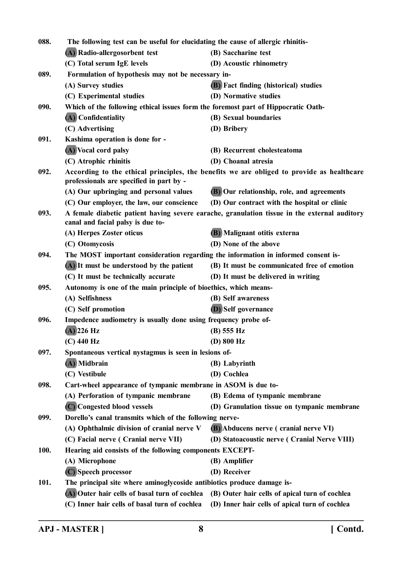| 088. | The following test can be useful for elucidating the cause of allergic rhinitis-   |                                                                                              |
|------|------------------------------------------------------------------------------------|----------------------------------------------------------------------------------------------|
|      | (A) Radio-allergosorbent test                                                      | (B) Saccharine test                                                                          |
|      | (C) Total serum IgE levels                                                         | (D) Acoustic rhinometry                                                                      |
| 089. | Formulation of hypothesis may not be necessary in-                                 |                                                                                              |
|      | (A) Survey studies                                                                 | <b>(B)</b> Fact finding (historical) studies                                                 |
|      | (C) Experimental studies                                                           | (D) Normative studies                                                                        |
| 090. | Which of the following ethical issues form the foremost part of Hippocratic Oath-  |                                                                                              |
|      | (A) Confidentiality                                                                | (B) Sexual boundaries                                                                        |
|      | (C) Advertising                                                                    | (D) Bribery                                                                                  |
| 091. | Kashima operation is done for -                                                    |                                                                                              |
|      | (A) Vocal cord palsy                                                               | (B) Recurrent cholesteatoma                                                                  |
|      | (C) Atrophic rhinitis                                                              | (D) Choanal atresia                                                                          |
| 092. | professionals are specified in part by -                                           | According to the ethical principles, the benefits we are obliged to provide as healthcare    |
|      | (A) Our upbringing and personal values                                             | (B) Our relationship, role, and agreements                                                   |
|      | (C) Our employer, the law, our conscience                                          | (D) Our contract with the hospital or clinic                                                 |
| 093. | canal and facial palsy is due to-                                                  | A female diabetic patient having severe earache, granulation tissue in the external auditory |
|      | (A) Herpes Zoster oticus                                                           | (B) Malignant otitis externa                                                                 |
|      | (C) Otomycosis                                                                     | (D) None of the above                                                                        |
| 094. | The MOST important consideration regarding the information in informed consent is- |                                                                                              |
|      | (A) It must be understood by the patient                                           | (B) It must be communicated free of emotion                                                  |
|      | (C) It must be technically accurate                                                | (D) It must be delivered in writing                                                          |
| 095. | Autonomy is one of the main principle of bioethics, which means-                   |                                                                                              |
|      | (A) Selfishness                                                                    | (B) Self awareness                                                                           |
|      | (C) Self promotion                                                                 | <b>(D)</b> Self governance                                                                   |
| 096. | Impedence audiometry is usually done using frequency probe of-                     |                                                                                              |
|      | $(A)$ 226 Hz                                                                       | (B) 555 Hz                                                                                   |
|      | $(C)$ 440 Hz                                                                       | $(D)$ 800 Hz                                                                                 |
| 097. | Spontaneous vertical nystagmus is seen in lesions of-                              |                                                                                              |
|      | (A) Midbrain                                                                       | (B) Labyrinth                                                                                |
|      | (C) Vestibule                                                                      | (D) Cochlea                                                                                  |
| 098. | Cart-wheel appearance of tympanic membrane in ASOM is due to-                      |                                                                                              |
|      | (A) Perforation of tympanic membrane                                               | (B) Edema of tympanic membrane                                                               |
|      | (C) Congested blood vessels                                                        | (D) Granulation tissue on tympanic membrane                                                  |
| 099. | Dorello's canal transmits which of the following nerve-                            |                                                                                              |
|      | (A) Ophthalmic division of cranial nerve V                                         | (B) Abducens nerve (cranial nerve VI)                                                        |
|      | (C) Facial nerve (Cranial nerve VII)                                               | (D) Statoacoustic nerve (Cranial Nerve VIII)                                                 |
| 100. | Hearing aid consists of the following components EXCEPT-                           |                                                                                              |
|      | (A) Microphone                                                                     | (B) Amplifier                                                                                |
|      | (C) Speech processor                                                               | (D) Receiver                                                                                 |
| 101. | The principal site where aminoglycoside antibiotics produce damage is-             |                                                                                              |
|      | (A) Outer hair cells of basal turn of cochlea                                      | (B) Outer hair cells of apical turn of cochlea                                               |
|      | (C) Inner hair cells of basal turn of cochlea                                      | (D) Inner hair cells of apical turn of cochlea                                               |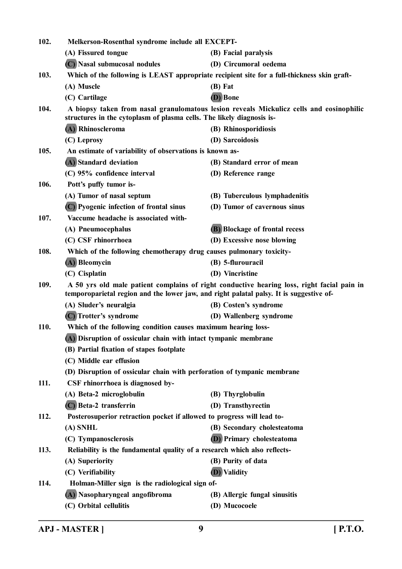| 102. | Melkerson-Rosenthal syndrome include all EXCEPT-                                            |                                                                                            |
|------|---------------------------------------------------------------------------------------------|--------------------------------------------------------------------------------------------|
|      | (A) Fissured tongue                                                                         | (B) Facial paralysis                                                                       |
|      | (C) Nasal submucosal nodules                                                                | (D) Circumoral oedema                                                                      |
| 103. | Which of the following is LEAST appropriate recipient site for a full-thickness skin graft- |                                                                                            |
|      | (A) Muscle                                                                                  | $(B)$ Fat                                                                                  |
|      | (C) Cartilage                                                                               | (D) Bone                                                                                   |
| 104. | structures in the cytoplasm of plasma cells. The likely diagnosis is-                       | A biopsy taken from nasal granulomatous lesion reveals Mickulicz cells and eosinophilic    |
|      | (A) Rhinoscleroma                                                                           | (B) Rhinosporidiosis                                                                       |
|      | (C) Leprosy                                                                                 | (D) Sarcoidosis                                                                            |
| 105. | An estimate of variability of observations is known as-                                     |                                                                                            |
|      | (A) Standard deviation                                                                      | (B) Standard error of mean                                                                 |
|      | (C) 95% confidence interval                                                                 | (D) Reference range                                                                        |
| 106. | Pott's puffy tumor is-                                                                      |                                                                                            |
|      | (A) Tumor of nasal septum                                                                   | (B) Tuberculous lymphadenitis                                                              |
|      | (C) Pyogenic infection of frontal sinus                                                     | (D) Tumor of cavernous sinus                                                               |
| 107. | Vaccume headache is associated with-                                                        |                                                                                            |
|      | (A) Pneumocephalus                                                                          | <b>(B)</b> Blockage of frontal recess                                                      |
|      | (C) CSF rhinorrhoea                                                                         | (D) Excessive nose blowing                                                                 |
| 108. | Which of the following chemotherapy drug causes pulmonary toxicity-                         |                                                                                            |
|      | (A) Bleomycin                                                                               | (B) 5-flurouracil                                                                          |
|      | (C) Cisplatin                                                                               | (D) Vincristine                                                                            |
| 109. | temporoparietal region and the lower jaw, and right palatal palsy. It is suggestive of-     | A 50 yrs old male patient complains of right conductive hearing loss, right facial pain in |
|      | (A) Sluder's neuralgia                                                                      | (B) Costen's syndrome                                                                      |
|      | (C) Trotter's syndrome                                                                      | (D) Wallenberg syndrome                                                                    |
| 110. | Which of the following condition causes maximum hearing loss-                               |                                                                                            |
|      | (A) Disruption of ossicular chain with intact tympanic membrane                             |                                                                                            |
|      | (B) Partial fixation of stapes footplate                                                    |                                                                                            |
|      | (C) Middle ear effusion                                                                     |                                                                                            |
|      | (D) Disruption of ossicular chain with perforation of tympanic membrane                     |                                                                                            |
| 111. | CSF rhinorrhoea is diagnosed by-                                                            |                                                                                            |
|      | (A) Beta-2 microglobulin                                                                    | (B) Thyrglobulin                                                                           |
|      | (C) Beta-2 transferrin                                                                      | (D) Transthyrectin                                                                         |
| 112. | Posterosuperior retraction pocket if allowed to progress will lead to-                      |                                                                                            |
|      | (A) SNHL                                                                                    | (B) Secondary cholesteatoma                                                                |
|      | (C) Tympanosclerosis                                                                        | <b>(D)</b> Primary cholesteatoma                                                           |
| 113. | Reliability is the fundamental quality of a research which also reflects-                   |                                                                                            |
|      | (A) Superiority                                                                             | (B) Purity of data                                                                         |
|      | (C) Verifiability                                                                           | <b>D</b> ) Validity                                                                        |
| 114. | Holman-Miller sign is the radiological sign of-                                             |                                                                                            |
|      | (A) Nasopharyngeal angofibroma                                                              | (B) Allergic fungal sinusitis                                                              |
|      | (C) Orbital cellulitis                                                                      | (D) Mucocoele                                                                              |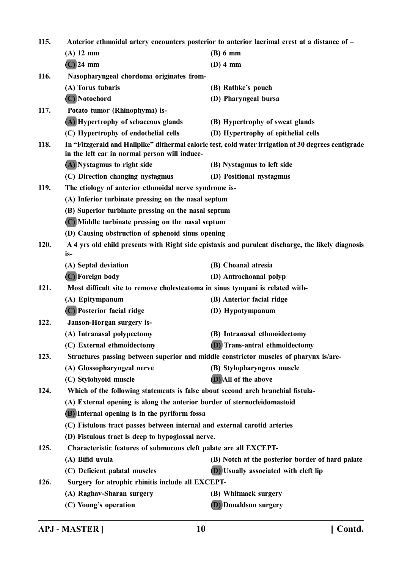**115. Anterior ethmoidal artery encounters posterior to anterior lacrimal crest at a distance of – (A) 12 mm (B) 6 mm (C) 24 mm (D) 4 mm 116. Nasopharyngeal chordoma originates from- (A) Torus tubaris (B) Rathke's pouch (C) Notochord (D) Pharyngeal bursa 117. Potato tumor (Rhinophyma) is- (A) Hypertrophy of sebaceous glands (B) Hypertrophy of sweat glands (C) Hypertrophy of endothelial cells (D) Hypertrophy of epithelial cells 118. In "Fitzgerald and Hallpike" dithermal caloric test, cold water irrigation at 30 degrees centigrade in the left ear in normal person will induce- (A) Nystagmus to right side (B) Nystagmus to left side (C) Direction changing nystagmus (D) Positional nystagmus 119. The etiology of anterior ethmoidal nerve syndrome is- (A) Inferior turbinate pressing on the nasal septum (B) Superior turbinate pressing on the nasal septum (C) Middle turbinate pressing on the nasal septum (D) Causing obstruction of sphenoid sinus opening 120. A 4 yrs old child presents with Right side epistaxis and purulent discharge, the likely diagnosis is- (A) Septal deviation (B) Choanal atresia (C) Foreign body (D) Antrochoanal polyp 121. Most difficult site to remove cholesteatoma in sinus tympani is related with- (A) Epitympanum (B) Anterior facial ridge (C) Posterior facial ridge (D) Hypotympanum 122. Janson-Horgan surgery is- (A) Intranasal polypectomy (B) Intranasal ethmoidectomy (C) External ethmoidectomy (D) Trans-antral ethmoidectomy 123. Structures passing between superior and middle constrictor muscles of pharynx is/are- (A) Glossopharyngeal nerve (B) Stylopharyngeus muscle (C) Stylohyoid muscle (D) All of the above 124. Which of the following statements is false about second arch branchial fistula- (A) External opening is along the anterior border of sternocleidomastoid (B) Internal opening is in the pyriform fossa (C) Fistulous tract passes between internal and external carotid arteries (D) Fistulous tract is deep to hypoglossal nerve. 125. Characteristic features of submucous cleft palate are all EXCEPT- (A) Bifid uvula (B) Notch at the posterior border of hard palate (C) Deficient palatal muscles (D) Usually associated with cleft lip 126. Surgery for atrophic rhinitis include all EXCEPT- (A) Raghav-Sharan surgery (B) Whitmack surgery (C) Young's operation (D) Donaldson surgery**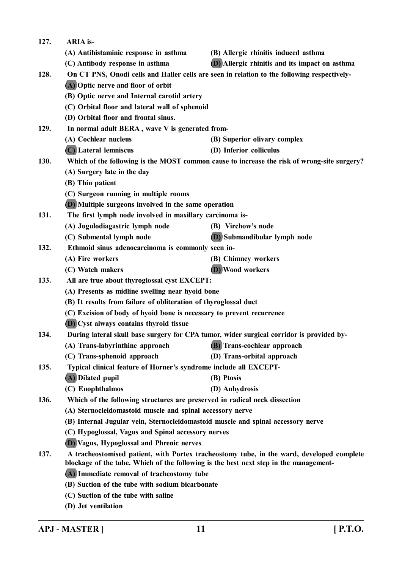| 127. | <b>ARIA</b> is-                                                                          |                                                                                             |
|------|------------------------------------------------------------------------------------------|---------------------------------------------------------------------------------------------|
|      | (A) Antihistaminic response in asthma                                                    | (B) Allergic rhinitis induced asthma                                                        |
|      | (C) Antibody response in asthma                                                          | (D) Allergic rhinitis and its impact on asthma                                              |
| 128. |                                                                                          | On CT PNS, Onodi cells and Haller cells are seen in relation to the following respectively- |
|      | (A) Optic nerve and floor of orbit                                                       |                                                                                             |
|      | (B) Optic nerve and Internal carotid artery                                              |                                                                                             |
|      | (C) Orbital floor and lateral wall of sphenoid                                           |                                                                                             |
|      | (D) Orbital floor and frontal sinus.                                                     |                                                                                             |
| 129. | In normal adult BERA, wave V is generated from-                                          |                                                                                             |
|      | (A) Cochlear nucleus                                                                     | (B) Superior olivary complex                                                                |
|      | (C) Lateral lemniscus                                                                    | (D) Inferior colliculus                                                                     |
| 130. |                                                                                          | Which of the following is the MOST common cause to increase the risk of wrong-site surgery? |
|      | (A) Surgery late in the day                                                              |                                                                                             |
|      | (B) Thin patient                                                                         |                                                                                             |
|      | (C) Surgeon running in multiple rooms                                                    |                                                                                             |
|      | (D) Multiple surgeons involved in the same operation                                     |                                                                                             |
| 131. | The first lymph node involved in maxillary carcinoma is-                                 |                                                                                             |
|      | (A) Jugulodiagastric lymph node                                                          | (B) Virchow's node                                                                          |
|      | (C) Submental lymph node                                                                 | (D) Submandibular lymph node                                                                |
| 132. | Ethmoid sinus adenocarcinoma is commonly seen in-                                        |                                                                                             |
|      | (A) Fire workers                                                                         | (B) Chimney workers                                                                         |
|      | (C) Watch makers                                                                         | (D) Wood workers                                                                            |
| 133. | All are true about thyroglossal cyst EXCEPT:                                             |                                                                                             |
|      | (A) Presents as midline swelling near hyoid bone                                         |                                                                                             |
|      | (B) It results from failure of obliteration of thyroglossal duct                         |                                                                                             |
|      | (C) Excision of body of hyoid bone is necessary to prevent recurrence                    |                                                                                             |
|      | (D) Cyst always contains thyroid tissue                                                  |                                                                                             |
| 134. | During lateral skull base surgery for CPA tumor, wider surgical corridor is provided by- |                                                                                             |
|      | (A) Trans-labyrinthine approach                                                          | (B) Trans-cochlear approach                                                                 |
|      | (C) Trans-sphenoid approach                                                              | (D) Trans-orbital approach                                                                  |
| 135. | Typical clinical feature of Horner's syndrome include all EXCEPT-                        |                                                                                             |
|      | (A) Dilated pupil                                                                        | (B) Ptosis                                                                                  |
|      | (C) Enophthalmos                                                                         | (D) Anhydrosis                                                                              |
| 136. | Which of the following structures are preserved in radical neck dissection               |                                                                                             |
|      | (A) Sternocleidomastoid muscle and spinal accessory nerve                                |                                                                                             |
|      | (B) Internal Jugular vein, Sternocleidomastoid muscle and spinal accessory nerve         |                                                                                             |
|      | (C) Hypoglossal, Vagus and Spinal accessory nerves                                       |                                                                                             |
|      | (D) Vagus, Hypoglossal and Phrenic nerves                                                |                                                                                             |
| 137. | blockage of the tube. Which of the following is the best next step in the management-    | A tracheostomised patient, with Portex tracheostomy tube, in the ward, developed complete   |
|      | (A) Immediate removal of tracheostomy tube                                               |                                                                                             |
|      | (B) Suction of the tube with sodium bicarbonate                                          |                                                                                             |
|      | (C) Suction of the tube with saline                                                      |                                                                                             |
|      | (D) Jet ventilation                                                                      |                                                                                             |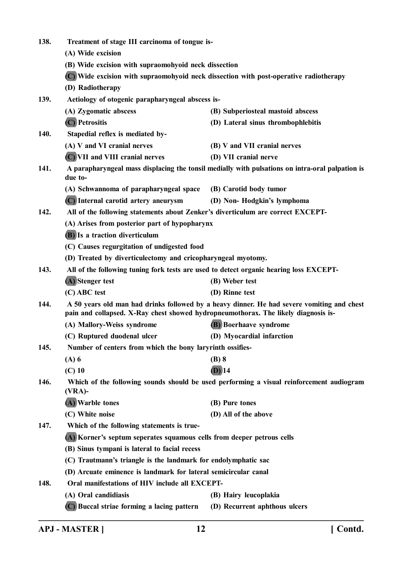| 138. | Treatment of stage III carcinoma of tongue is-                                                                                                                                   |                                                                                                 |  |  |
|------|----------------------------------------------------------------------------------------------------------------------------------------------------------------------------------|-------------------------------------------------------------------------------------------------|--|--|
|      | (A) Wide excision                                                                                                                                                                |                                                                                                 |  |  |
|      | (B) Wide excision with supraomohyoid neck dissection                                                                                                                             |                                                                                                 |  |  |
|      |                                                                                                                                                                                  | (C) Wide excision with supraomohyoid neck dissection with post-operative radiotherapy           |  |  |
|      | (D) Radiotherapy                                                                                                                                                                 |                                                                                                 |  |  |
| 139. | Aetiology of otogenic parapharyngeal abscess is-                                                                                                                                 |                                                                                                 |  |  |
|      | (A) Zygomatic abscess                                                                                                                                                            | (B) Subperiosteal mastoid abscess                                                               |  |  |
|      | (C) Petrositis                                                                                                                                                                   | (D) Lateral sinus thrombophlebitis                                                              |  |  |
| 140. | Stapedial reflex is mediated by-                                                                                                                                                 |                                                                                                 |  |  |
|      | (A) V and VI cranial nerves                                                                                                                                                      | (B) V and VII cranial nerves                                                                    |  |  |
|      | (C) VII and VIII cranial nerves                                                                                                                                                  | (D) VII cranial nerve                                                                           |  |  |
| 141. | due to-                                                                                                                                                                          | A parapharyngeal mass displacing the tonsil medially with pulsations on intra-oral palpation is |  |  |
|      | (A) Schwannoma of parapharyngeal space                                                                                                                                           | (B) Carotid body tumor                                                                          |  |  |
|      | (C) Internal carotid artery aneurysm                                                                                                                                             | (D) Non-Hodgkin's lymphoma                                                                      |  |  |
| 142. | All of the following statements about Zenker's diverticulum are correct EXCEPT-                                                                                                  |                                                                                                 |  |  |
|      | (A) Arises from posterior part of hypopharynx                                                                                                                                    |                                                                                                 |  |  |
|      | (B) Is a traction diverticulum                                                                                                                                                   |                                                                                                 |  |  |
|      | (C) Causes regurgitation of undigested food                                                                                                                                      |                                                                                                 |  |  |
|      | (D) Treated by diverticulectomy and cricopharyngeal myotomy.                                                                                                                     |                                                                                                 |  |  |
| 143. | All of the following tuning fork tests are used to detect organic hearing loss EXCEPT-                                                                                           |                                                                                                 |  |  |
|      | (A) Stenger test                                                                                                                                                                 | (B) Weber test                                                                                  |  |  |
|      | (C) ABC test                                                                                                                                                                     | (D) Rinne test                                                                                  |  |  |
| 144. | A 50 years old man had drinks followed by a heavy dinner. He had severe vomiting and chest<br>pain and collapsed. X-Ray chest showed hydropneumothorax. The likely diagnosis is- |                                                                                                 |  |  |
|      | (A) Mallory-Weiss syndrome                                                                                                                                                       | (B) Boerhaave syndrome                                                                          |  |  |
|      | (C) Ruptured duodenal ulcer                                                                                                                                                      | (D) Myocardial infarction                                                                       |  |  |
| 145. | Number of centers from which the bony laryrinth ossifies-                                                                                                                        |                                                                                                 |  |  |
|      | $(A)$ 6                                                                                                                                                                          | $(B)$ 8                                                                                         |  |  |
|      | $(C)$ 10                                                                                                                                                                         | $(D)$ 14                                                                                        |  |  |
| 146. | Which of the following sounds should be used performing a visual reinforcement audiogram<br>$(VRA)$ -                                                                            |                                                                                                 |  |  |
|      | (A) Warble tones                                                                                                                                                                 | (B) Pure tones                                                                                  |  |  |
|      | (C) White noise                                                                                                                                                                  | (D) All of the above                                                                            |  |  |
| 147. | Which of the following statements is true-                                                                                                                                       |                                                                                                 |  |  |
|      | (A) Korner's septum seperates squamous cells from deeper petrous cells                                                                                                           |                                                                                                 |  |  |
|      | (B) Sinus tympani is lateral to facial recess                                                                                                                                    |                                                                                                 |  |  |
|      | (C) Trautmann's triangle is the landmark for endolymphatic sac                                                                                                                   |                                                                                                 |  |  |
|      | (D) Arcuate eminence is landmark for lateral semicircular canal                                                                                                                  |                                                                                                 |  |  |
| 148. | Oral manifestations of HIV include all EXCEPT-                                                                                                                                   |                                                                                                 |  |  |
|      | (A) Oral candidiasis                                                                                                                                                             | (B) Hairy leucoplakia                                                                           |  |  |
|      | (C) Buccal striae forming a lacing pattern                                                                                                                                       | (D) Recurrent aphthous ulcers                                                                   |  |  |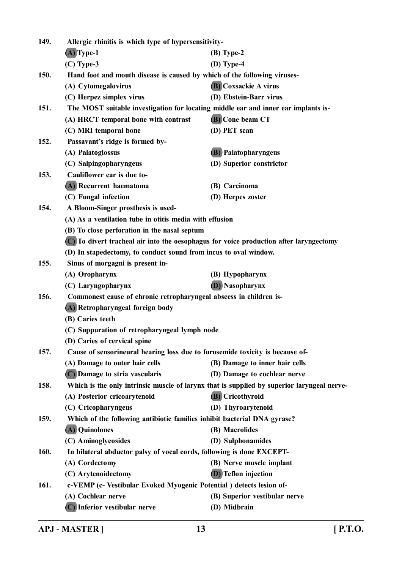| 149. |                                                                                            | Allergic rhinitis is which type of hypersensitivity- |  |  |
|------|--------------------------------------------------------------------------------------------|------------------------------------------------------|--|--|
|      | $(A)$ Type-1                                                                               | $(B)$ Type-2                                         |  |  |
|      | $(C)$ Type-3                                                                               | $(D)$ Type-4                                         |  |  |
| 150. | Hand foot and mouth disease is caused by which of the following viruses-                   |                                                      |  |  |
|      | (A) Cytomegalovirus                                                                        | <b>(B)</b> Coxsackie A virus                         |  |  |
|      | (C) Herpez simplex virus                                                                   | (D) Ebstein-Barr virus                               |  |  |
| 151. | The MOST suitable investigation for locating middle ear and inner ear implants is-         |                                                      |  |  |
|      | (A) HRCT temporal bone with contrast                                                       | (B) Cone beam CT                                     |  |  |
|      | (C) MRI temporal bone                                                                      | (D) PET scan                                         |  |  |
| 152. | Passavant's ridge is formed by-                                                            |                                                      |  |  |
|      | (A) Palatoglossus                                                                          | (B) Palatopharyngeus                                 |  |  |
|      | (C) Salpingopharyngeus                                                                     | (D) Superior constrictor                             |  |  |
| 153. | Cauliflower ear is due to-                                                                 |                                                      |  |  |
|      | (A) Recurrent haematoma                                                                    | (B) Carcinoma                                        |  |  |
|      | (C) Fungal infection                                                                       | (D) Herpes zoster                                    |  |  |
| 154. | A Bloom-Singer prosthesis is used-                                                         |                                                      |  |  |
|      | (A) As a ventilation tube in otitis media with effusion                                    |                                                      |  |  |
|      | (B) To close perforation in the nasal septum                                               |                                                      |  |  |
|      | (C) To divert tracheal air into the oesophagus for voice production after laryngectomy     |                                                      |  |  |
|      | (D) In stapedectomy, to conduct sound from incus to oval window.                           |                                                      |  |  |
| 155. | Sinus of morgagni is present in-                                                           |                                                      |  |  |
|      | (A) Oropharynx                                                                             | (B) Hypopharynx                                      |  |  |
|      | (C) Laryngopharynx                                                                         | <b>(D)</b> Nasopharynx                               |  |  |
| 156. | Commonest cause of chronic retropharyngeal abscess in children is-                         |                                                      |  |  |
|      | (A) Retropharyngeal foreign body                                                           |                                                      |  |  |
|      | (B) Caries teeth                                                                           |                                                      |  |  |
|      | (C) Suppuration of retropharyngeal lymph node                                              |                                                      |  |  |
|      | (D) Caries of cervical spine                                                               |                                                      |  |  |
| 157. | Cause of sensorineural hearing loss due to furosemide toxicity is because of-              |                                                      |  |  |
|      | (A) Damage to outer hair cells                                                             | (B) Damage to inner hair cells                       |  |  |
|      | (C) Damage to stria vascularis                                                             | (D) Damage to cochlear nerve                         |  |  |
| 158. | Which is the only intrinsic muscle of larynx that is supplied by superior laryngeal nerve- |                                                      |  |  |
|      | (A) Posterior cricoarytenoid                                                               | (B) Cricothyroid                                     |  |  |
|      | (C) Cricopharyngeus                                                                        | (D) Thyroarytenoid                                   |  |  |
| 159. | Which of the following antibiotic families inhibit bacterial DNA gyrase?                   |                                                      |  |  |
|      | (A) Quinolones                                                                             | (B) Macrolides                                       |  |  |
|      | (C) Aminoglycosides                                                                        | (D) Sulphonamides                                    |  |  |
| 160. | In bilateral abductor palsy of vocal cords, following is done EXCEPT-                      |                                                      |  |  |
|      | (A) Cordectomy                                                                             | (B) Nerve muscle implant                             |  |  |
|      | (C) Arytenoidectomy                                                                        | <b>(D)</b> Teflon injection                          |  |  |
| 161. | c-VEMP (c- Vestibular Evoked Myogenic Potential) detects lesion of-                        |                                                      |  |  |
|      | (A) Cochlear nerve                                                                         | (B) Superior vestibular nerve                        |  |  |
|      | (C) Inferior vestibular nerve                                                              | (D) Midbrain                                         |  |  |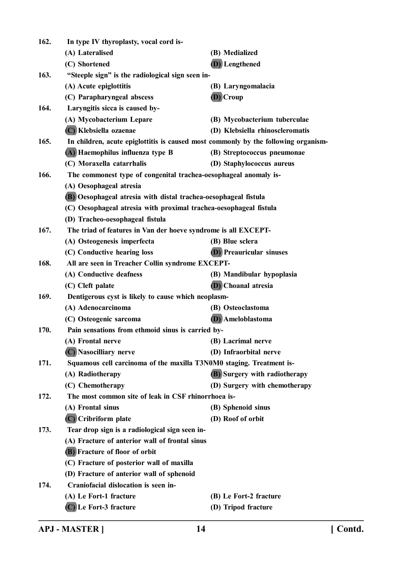| 162. | In type IV thyroplasty, vocal cord is-                                             |                                      |  |  |
|------|------------------------------------------------------------------------------------|--------------------------------------|--|--|
|      | (A) Lateralised                                                                    | (B) Medialized                       |  |  |
|      | (C) Shortened                                                                      | (D) Lengthened                       |  |  |
| 163. | "Steeple sign" is the radiological sign seen in-                                   |                                      |  |  |
|      | (A) Acute epiglottitis                                                             | (B) Laryngomalacia                   |  |  |
|      | (C) Parapharyngeal abscess                                                         | (D) Croup                            |  |  |
| 164. | Laryngitis sicca is caused by-                                                     |                                      |  |  |
|      | (A) Mycobacterium Lepare                                                           | (B) Mycobacterium tuberculae         |  |  |
|      | (C) Klebsiella ozaenae                                                             | (D) Klebsiella rhinoscleromatis      |  |  |
| 165. | In children, acute epiglottitis is caused most commonly by the following organism- |                                      |  |  |
|      | (A) Haemophilus influenza type B                                                   | (B) Streptococcus pneumonae          |  |  |
|      | (C) Moraxella catarrhalis                                                          | (D) Staphylococcus aureus            |  |  |
| 166. | The commonest type of congenital trachea-oesophageal anomaly is-                   |                                      |  |  |
|      | (A) Oesophageal atresia                                                            |                                      |  |  |
|      | (B) Oesophageal atresia with distal trachea-oesophageal fistula                    |                                      |  |  |
|      | (C) Oesophageal atresia with proximal trachea-oesophageal fistula                  |                                      |  |  |
|      | (D) Tracheo-oesophageal fistula                                                    |                                      |  |  |
| 167. | The triad of features in Van der hoeve syndrome is all EXCEPT-                     |                                      |  |  |
|      | (A) Osteogenesis imperfecta                                                        | (B) Blue sclera                      |  |  |
|      | (C) Conductive hearing loss                                                        | <b>(D)</b> Preauricular sinuses      |  |  |
| 168. | All are seen in Treacher Collin syndrome EXCEPT-                                   |                                      |  |  |
|      | (A) Conductive deafness                                                            | (B) Mandibular hypoplasia            |  |  |
|      | (C) Cleft palate                                                                   | <b>(D)</b> Choanal atresia           |  |  |
| 169. | Dentigerous cyst is likely to cause which neoplasm-                                |                                      |  |  |
|      | (A) Adenocarcinoma                                                                 | (B) Osteoclastoma                    |  |  |
|      | (C) Osteogenic sarcoma                                                             | <b>(D)</b> Ameloblastoma             |  |  |
| 170. | Pain sensations from ethmoid sinus is carried by-                                  |                                      |  |  |
|      | (A) Frontal nerve                                                                  | (B) Lacrimal nerve                   |  |  |
|      | (C) Nasocilliary nerve                                                             | (D) Infraorbital nerve               |  |  |
| 171. | Squamous cell carcinoma of the maxilla T3N0M0 staging. Treatment is-               |                                      |  |  |
|      | (A) Radiotherapy                                                                   | <b>(B)</b> Surgery with radiotherapy |  |  |
|      | (C) Chemotherapy                                                                   | (D) Surgery with chemotherapy        |  |  |
| 172. | The most common site of leak in CSF rhinorrhoea is-                                |                                      |  |  |
|      | (A) Frontal sinus                                                                  | (B) Sphenoid sinus                   |  |  |
|      | (C) Cribriform plate                                                               | (D) Roof of orbit                    |  |  |
| 173. | Tear drop sign is a radiological sign seen in-                                     |                                      |  |  |
|      | (A) Fracture of anterior wall of frontal sinus                                     |                                      |  |  |
|      | (B) Fracture of floor of orbit                                                     |                                      |  |  |
|      | (C) Fracture of posterior wall of maxilla                                          |                                      |  |  |
|      | (D) Fracture of anterior wall of sphenoid                                          |                                      |  |  |
| 174. | Craniofacial dislocation is seen in-                                               |                                      |  |  |
|      | (A) Le Fort-1 fracture                                                             | (B) Le Fort-2 fracture               |  |  |
|      | (C) Le Fort-3 fracture                                                             | (D) Tripod fracture                  |  |  |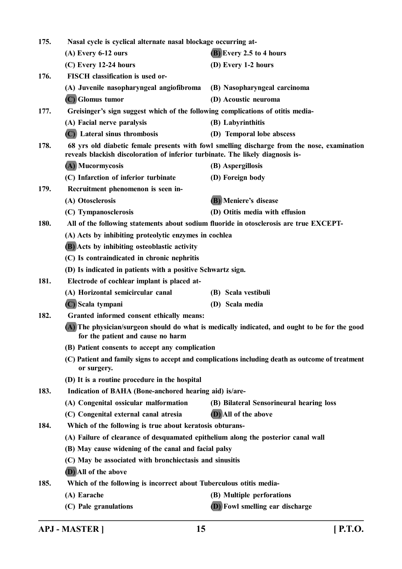| 175. | Nasal cycle is cyclical alternate nasal blockage occurring at-                                                                                                                |                                          |  |
|------|-------------------------------------------------------------------------------------------------------------------------------------------------------------------------------|------------------------------------------|--|
|      | $(A)$ Every 6-12 ours                                                                                                                                                         | (B) Every 2.5 to 4 hours                 |  |
|      | $(C)$ Every 12-24 hours                                                                                                                                                       | (D) Every 1-2 hours                      |  |
| 176. | FISCH classification is used or-                                                                                                                                              |                                          |  |
|      | (A) Juvenile nasopharyngeal angiofibroma                                                                                                                                      | (B) Nasopharyngeal carcinoma             |  |
|      | (C) Glomus tumor                                                                                                                                                              | (D) Acoustic neuroma                     |  |
| 177. | Greisinger's sign suggest which of the following complications of otitis media-                                                                                               |                                          |  |
|      | (A) Facial nerve paralysis                                                                                                                                                    | (B) Labyrinthitis                        |  |
|      | (C) Lateral sinus thrombosis                                                                                                                                                  | (D) Temporal lobe abscess                |  |
| 178. | 68 yrs old diabetic female presents with fowl smelling discharge from the nose, examination<br>reveals blackish discoloration of inferior turbinate. The likely diagnosis is- |                                          |  |
|      | (A) Mucormycosis                                                                                                                                                              | (B) Aspergillosis                        |  |
|      | (C) Infarction of inferior turbinate                                                                                                                                          | (D) Foreign body                         |  |
| 179. | Recruitment phenomenon is seen in-                                                                                                                                            |                                          |  |
|      | (A) Otosclerosis                                                                                                                                                              | (B) Meniere's disease                    |  |
|      | (C) Tympanosclerosis                                                                                                                                                          | (D) Otitis media with effusion           |  |
| 180. | All of the following statements about sodium fluoride in otosclerosis are true EXCEPT-                                                                                        |                                          |  |
|      | (A) Acts by inhibiting proteolytic enzymes in cochlea                                                                                                                         |                                          |  |
|      | (B) Acts by inhibiting osteoblastic activity                                                                                                                                  |                                          |  |
|      | (C) Is contraindicated in chronic nephritis                                                                                                                                   |                                          |  |
|      | (D) Is indicated in patients with a positive Schwartz sign.                                                                                                                   |                                          |  |
| 181. | Electrode of cochlear implant is placed at-                                                                                                                                   |                                          |  |
|      | (A) Horizontal semicircular canal                                                                                                                                             | (B) Scala vestibuli                      |  |
|      | (C) Scala tympani                                                                                                                                                             | (D) Scala media                          |  |
| 182. | Granted informed consent ethically means:                                                                                                                                     |                                          |  |
|      | (A) The physician/surgeon should do what is medically indicated, and ought to be for the good<br>for the patient and cause no harm                                            |                                          |  |
|      | (B) Patient consents to accept any complication                                                                                                                               |                                          |  |
|      | (C) Patient and family signs to accept and complications including death as outcome of treatment<br>or surgery.                                                               |                                          |  |
|      | (D) It is a routine procedure in the hospital                                                                                                                                 |                                          |  |
| 183. | Indication of BAHA (Bone-anchored hearing aid) is/are-                                                                                                                        |                                          |  |
|      | (A) Congenital ossicular malformation                                                                                                                                         | (B) Bilateral Sensorineural hearing loss |  |
|      | (C) Congenital external canal atresia                                                                                                                                         | (D) All of the above                     |  |
| 184. | Which of the following is true about keratosis obturans-                                                                                                                      |                                          |  |
|      | (A) Failure of clearance of desquamated epithelium along the posterior canal wall                                                                                             |                                          |  |
|      | (B) May cause widening of the canal and facial palsy                                                                                                                          |                                          |  |
|      | (C) May be associated with bronchiectasis and sinusitis                                                                                                                       |                                          |  |
|      | (D) All of the above                                                                                                                                                          |                                          |  |
| 185. | Which of the following is incorrect about Tuberculous otitis media-                                                                                                           |                                          |  |
|      | (A) Earache                                                                                                                                                                   | (B) Multiple perforations                |  |
|      | (C) Pale granulations                                                                                                                                                         | (D) Fowl smelling ear discharge          |  |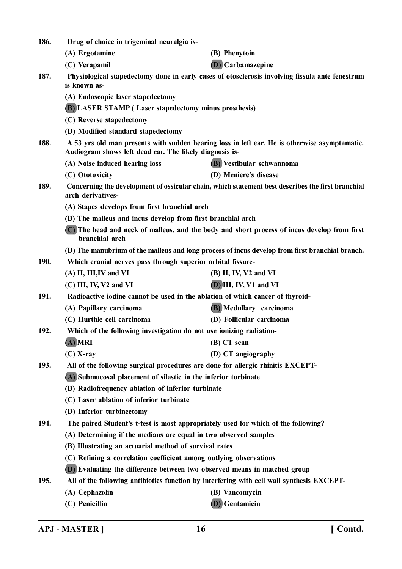| 186. | Drug of choice in trigeminal neuralgia is-                                                                                                               |                           |  |
|------|----------------------------------------------------------------------------------------------------------------------------------------------------------|---------------------------|--|
|      | (A) Ergotamine                                                                                                                                           | (B) Phenytoin             |  |
|      | (C) Verapamil                                                                                                                                            | <b>(D)</b> Carbamazepine  |  |
| 187. | Physiological stapedectomy done in early cases of otosclerosis involving fissula ante fenestrum<br>is known as-                                          |                           |  |
|      | (A) Endoscopic laser stapedectomy                                                                                                                        |                           |  |
|      | <b>(B) LASER STAMP (Laser stapedectomy minus prosthesis)</b>                                                                                             |                           |  |
|      | (C) Reverse stapedectomy                                                                                                                                 |                           |  |
|      | (D) Modified standard stapedectomy                                                                                                                       |                           |  |
| 188. | A 53 yrs old man presents with sudden hearing loss in left ear. He is otherwise asymptamatic.<br>Audiogram shows left dead ear. The likely diagnosis is- |                           |  |
|      | (A) Noise induced hearing loss                                                                                                                           | (B) Vestibular schwannoma |  |
|      | (C) Ototoxicity                                                                                                                                          | (D) Meniere's disease     |  |
| 189. | Concerning the development of ossicular chain, which statement best describes the first branchial<br>arch derivatives-                                   |                           |  |
|      | (A) Stapes develops from first branchial arch                                                                                                            |                           |  |
|      | (B) The malleus and incus develop from first branchial arch                                                                                              |                           |  |
|      | (C) The head and neck of malleus, and the body and short process of incus develop from first<br>branchial arch                                           |                           |  |
|      | (D) The manubrium of the malleus and long process of incus develop from first branchial branch.                                                          |                           |  |
| 190. | Which cranial nerves pass through superior orbital fissure-                                                                                              |                           |  |
|      | (A) II, III, IV and VI                                                                                                                                   | $(B)$ II, IV, V2 and VI   |  |
|      | (C) III, IV, V2 and VI                                                                                                                                   | $(D)$ III, IV, V1 and VI  |  |
| 191. | Radioactive iodine cannot be used in the ablation of which cancer of thyroid-                                                                            |                           |  |
|      | (A) Papillary carcinoma                                                                                                                                  | (B) Medullary carcinoma   |  |
|      | (C) Hurthle cell carcinoma                                                                                                                               | (D) Follicular carcinoma  |  |
| 192. | Which of the following investigation do not use ionizing radiation-                                                                                      |                           |  |
|      | $(A)$ MRI                                                                                                                                                | (B) CT scan               |  |
|      | $(C)$ X-ray                                                                                                                                              | (D) CT angiography        |  |
| 193. | All of the following surgical procedures are done for allergic rhinitis EXCEPT-                                                                          |                           |  |
|      | (A) Submucosal placement of silastic in the inferior turbinate                                                                                           |                           |  |
|      | (B) Radiofrequency ablation of inferior turbinate                                                                                                        |                           |  |
|      | (C) Laser ablation of inferior turbinate                                                                                                                 |                           |  |
|      | (D) Inferior turbinectomy                                                                                                                                |                           |  |
| 194. | The paired Student's t-test is most appropriately used for which of the following?                                                                       |                           |  |
|      | (A) Determining if the medians are equal in two observed samples                                                                                         |                           |  |
|      | (B) Illustrating an actuarial method of survival rates                                                                                                   |                           |  |
|      | (C) Refining a correlation coefficient among outlying observations                                                                                       |                           |  |
|      | (D) Evaluating the difference between two observed means in matched group                                                                                |                           |  |
| 195. | All of the following antibiotics function by interfering with cell wall synthesis EXCEPT-                                                                |                           |  |
|      | (A) Cephazolin                                                                                                                                           | (B) Vancomycin            |  |
|      | (C) Penicillin                                                                                                                                           | (D) Gentamicin            |  |